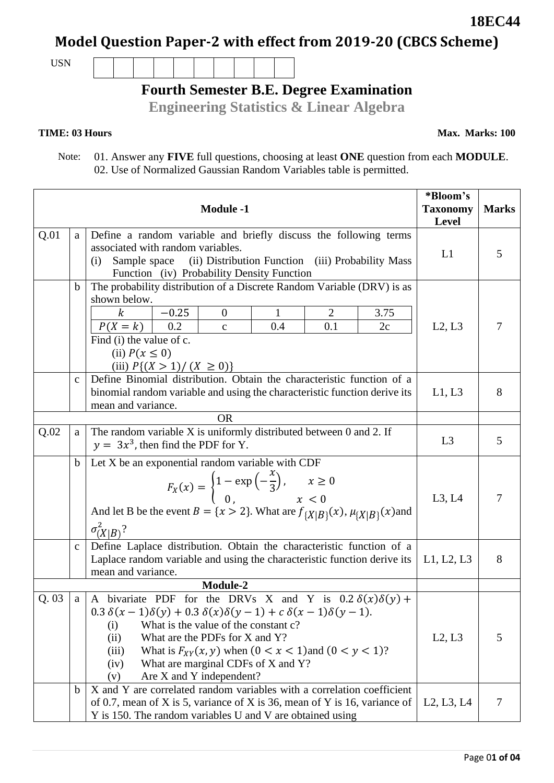Page 0**1 of 04**

## **Model Question Paper-2 with effect from 2019-20 (CBCS Scheme)**

USN

# **Fourth Semester B.E. Degree Examination**

**Engineering Statistics & Linear Algebra**

#### **TIME: 03 Hours**

 Note: 01. Answer any **FIVE** full questions, choosing at least **ONE** question from each **MODULE**. 02. Use of Normalized Gaussian Random Variables table is permitted.

| <b>Module -1</b> |             |                                                                                                                                                                                                                                                                                                                                                                                                             | *Bloom's<br><b>Taxonomy</b><br><b>Level</b> | <b>Marks</b> |
|------------------|-------------|-------------------------------------------------------------------------------------------------------------------------------------------------------------------------------------------------------------------------------------------------------------------------------------------------------------------------------------------------------------------------------------------------------------|---------------------------------------------|--------------|
| Q.01             | a           | Define a random variable and briefly discuss the following terms<br>associated with random variables.<br>(ii) Distribution Function (iii) Probability Mass<br>Sample space<br>(i)<br>Function (iv) Probability Density Function                                                                                                                                                                             | L1                                          | 5            |
|                  | $\mathbf b$ | The probability distribution of a Discrete Random Variable (DRV) is as<br>shown below.<br>$\boldsymbol{k}$<br>$-0.25$<br>$\overline{0}$<br>$\mathbf{1}$<br>$\overline{2}$<br>3.75<br>$P(X = k)$<br>0.2<br>0.1<br>0.4<br>2c<br>$\mathbf{C}$<br>Find (i) the value of c.<br>(ii) $P(x \leq 0)$<br>(iii) $P\{(X > 1) / (X \ge 0)\}\)$                                                                          | L2, L3                                      | 7            |
|                  | $\mathbf c$ | Define Binomial distribution. Obtain the characteristic function of a<br>binomial random variable and using the characteristic function derive its<br>mean and variance.                                                                                                                                                                                                                                    | L1, L3                                      | 8            |
|                  |             | <b>OR</b>                                                                                                                                                                                                                                                                                                                                                                                                   |                                             |              |
| Q.02             | a           | The random variable $X$ is uniformly distributed between 0 and 2. If<br>$y = 3x3$ , then find the PDF for Y.                                                                                                                                                                                                                                                                                                | L <sub>3</sub>                              | 5            |
|                  | $\mathbf b$ | Let X be an exponential random variable with CDF<br>$F_X(x) = \begin{cases} 1 - \exp(-\frac{x}{3}), & x \ge 0 \\ 0, & x < 0 \end{cases}$<br>And let B be the event $B = \{x > 2\}$ . What are $f_{\{X B\}}(x)$ , $\mu_{\{X B\}}(x)$ and<br>$\sigma_{(X B)}^2$ ?                                                                                                                                             | L3, L4                                      | 7            |
|                  | $\mathbf c$ | Define Laplace distribution. Obtain the characteristic function of a<br>Laplace random variable and using the characteristic function derive its<br>mean and variance.                                                                                                                                                                                                                                      | L1, L2, L3                                  | 8            |
|                  |             | Module-2                                                                                                                                                                                                                                                                                                                                                                                                    |                                             |              |
| Q.03             | a           | A bivariate PDF for the DRVs X and Y is $0.2 \delta(x)\delta(y)$ +<br>$0.3 \delta(x-1)\delta(y) + 0.3 \delta(x)\delta(y-1) + c \delta(x-1)\delta(y-1).$<br>What is the value of the constant c?<br>(i)<br>What are the PDFs for X and Y?<br>(ii)<br>What is $F_{XY}(x, y)$ when $(0 < x < 1)$ and $(0 < y < 1)$ ?<br>(iii)<br>What are marginal CDFs of X and Y?<br>(iv)<br>Are X and Y independent?<br>(v) | L2, L3                                      | 5            |
|                  | b           | X and Y are correlated random variables with a correlation coefficient<br>of 0.7, mean of X is 5, variance of X is 36, mean of Y is 16, variance of<br>Y is 150. The random variables U and V are obtained using                                                                                                                                                                                            | L2, L3, L4                                  | 7            |

**18EC44**

**Max. Marks: 100**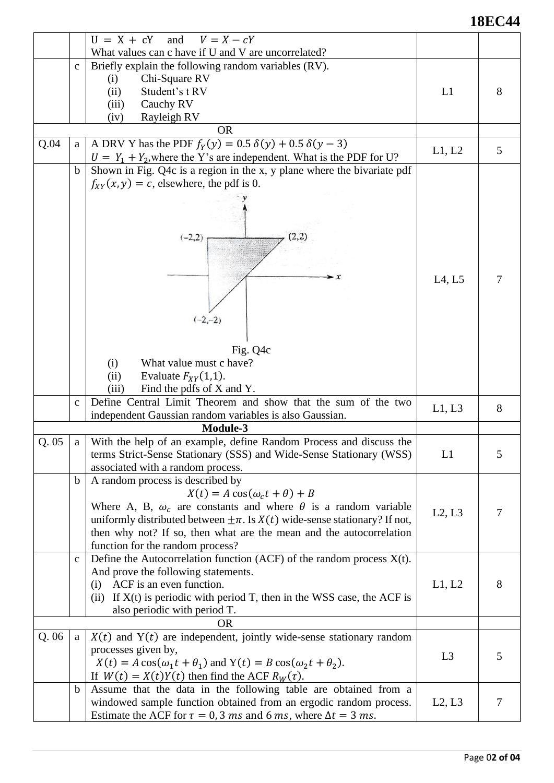### **18EC44**

| What values can c have if U and V are uncorrelated?<br>Briefly explain the following random variables (RV).<br>$\mathbf c$<br>Chi-Square RV<br>(i)            |   |
|---------------------------------------------------------------------------------------------------------------------------------------------------------------|---|
|                                                                                                                                                               |   |
|                                                                                                                                                               |   |
|                                                                                                                                                               |   |
| Student's t RV<br>(ii)<br>L1                                                                                                                                  | 8 |
| Cauchy RV<br>(iii)                                                                                                                                            |   |
| Rayleigh RV<br>(iv)                                                                                                                                           |   |
| <b>OR</b>                                                                                                                                                     |   |
| A DRV Y has the PDF $f_Y(y) = 0.5 \delta(y) + 0.5 \delta(y - 3)$<br>Q.04<br>a                                                                                 |   |
| L1, L2<br>$U = Y_1 + Y_2$ , where the Y's are independent. What is the PDF for U?                                                                             | 5 |
| Shown in Fig. Q4c is a region in the x, y plane where the bivariate pdf<br>$\mathbf b$                                                                        |   |
| $f_{XY}(x, y) = c$ , elsewhere, the pdf is 0.                                                                                                                 |   |
|                                                                                                                                                               |   |
|                                                                                                                                                               |   |
|                                                                                                                                                               |   |
| (2,2)<br>$(-2,2)$                                                                                                                                             |   |
|                                                                                                                                                               |   |
|                                                                                                                                                               |   |
|                                                                                                                                                               |   |
| L4, L5                                                                                                                                                        | 7 |
|                                                                                                                                                               |   |
|                                                                                                                                                               |   |
| $(-2,-2)$                                                                                                                                                     |   |
|                                                                                                                                                               |   |
| Fig. Q4c                                                                                                                                                      |   |
| What value must c have?<br>(i)                                                                                                                                |   |
| Evaluate $F_{XY}(1,1)$ .<br>(ii)                                                                                                                              |   |
| Find the pdfs of X and Y.<br>(iii)                                                                                                                            |   |
| Define Central Limit Theorem and show that the sum of the two<br>$\mathbf{C}$                                                                                 |   |
| L1, L3<br>independent Gaussian random variables is also Gaussian.                                                                                             | 8 |
| Module-3                                                                                                                                                      |   |
| Q.05<br>With the help of an example, define Random Process and discuss the<br>a                                                                               |   |
| terms Strict-Sense Stationary (SSS) and Wide-Sense Stationary (WSS)<br>L1                                                                                     | 5 |
| associated with a random process.                                                                                                                             |   |
| A random process is described by<br>$\mathbf b$                                                                                                               |   |
| $X(t) = A \cos(\omega_c t + \theta) + B$                                                                                                                      |   |
| Where A, B, $\omega_c$ are constants and where $\theta$ is a random variable                                                                                  |   |
| L2, L3<br>uniformly distributed between $\pm \pi$ . Is $X(t)$ wide-sense stationary? If not,                                                                  | 7 |
| then why not? If so, then what are the mean and the autocorrelation                                                                                           |   |
| function for the random process?                                                                                                                              |   |
| Define the Autocorrelation function (ACF) of the random process $X(t)$ .<br>$\mathbf{C}$                                                                      |   |
| And prove the following statements.                                                                                                                           |   |
| ACF is an even function.<br>L1, L2<br>(i)                                                                                                                     | 8 |
| (ii) If $X(t)$ is periodic with period T, then in the WSS case, the ACF is                                                                                    |   |
| also periodic with period T.                                                                                                                                  |   |
| <b>OR</b>                                                                                                                                                     |   |
| Q.06<br>$X(t)$ and $Y(t)$ are independent, jointly wide-sense stationary random<br>a                                                                          |   |
| processes given by,                                                                                                                                           |   |
| L <sub>3</sub><br>$X(t) = A \cos(\omega_1 t + \theta_1)$ and $Y(t) = B \cos(\omega_2 t + \theta_2)$ .                                                         | 5 |
| If $W(t) = X(t)Y(t)$ then find the ACF $R_W(\tau)$ .                                                                                                          |   |
|                                                                                                                                                               |   |
|                                                                                                                                                               |   |
| Assume that the data in the following table are obtained from a<br>$\mathbf b$<br>windowed sample function obtained from an ergodic random process.<br>L2, L3 | 7 |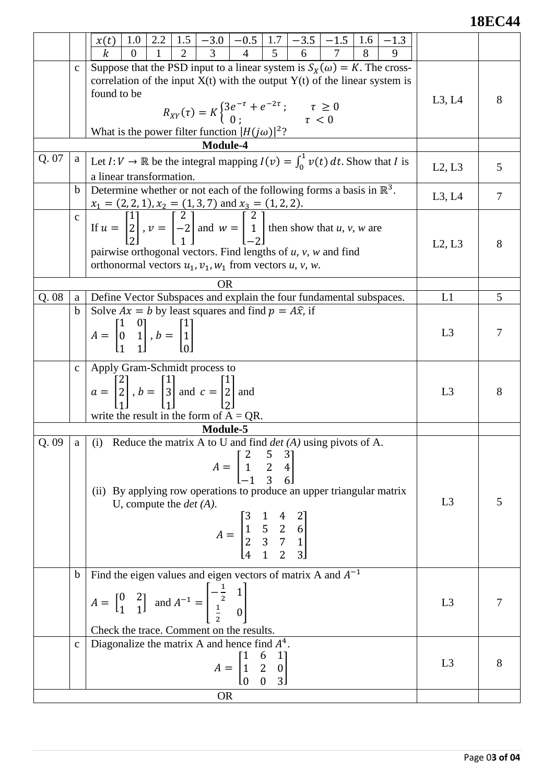### **18EC44**

|       |                  | 2.2<br>1.0<br>x(t)<br>k<br>$\Omega$                                                                                                                                                                                                                                       |                |        |
|-------|------------------|---------------------------------------------------------------------------------------------------------------------------------------------------------------------------------------------------------------------------------------------------------------------------|----------------|--------|
|       | $\mathbf C$      | Suppose that the PSD input to a linear system is $S_X(\omega) = K$ . The cross-                                                                                                                                                                                           |                |        |
|       |                  | correlation of the input $X(t)$ with the output $Y(t)$ of the linear system is                                                                                                                                                                                            |                |        |
|       |                  | found to be                                                                                                                                                                                                                                                               | L3, L4         | 8      |
|       |                  | $R_{XY}(\tau) = K \begin{cases} 3e^{-\tau} + e^{-2\tau} \\ 0 \\ i \end{cases}; \qquad \tau \ge 0$                                                                                                                                                                         |                |        |
|       |                  | What is the power filter function $ H(j\omega) ^2$ ?                                                                                                                                                                                                                      |                |        |
|       |                  | <b>Module-4</b>                                                                                                                                                                                                                                                           |                |        |
| Q. 07 | a                | Let $I: V \to \mathbb{R}$ be the integral mapping $I(v) = \int_0^1 v(t) dt$ . Show that I is<br>a linear transformation.                                                                                                                                                  | L2, L3         | 5      |
|       | $\mathbf b$      | Determine whether or not each of the following forms a basis in $\mathbb{R}^3$ .                                                                                                                                                                                          |                |        |
|       |                  |                                                                                                                                                                                                                                                                           | L3, L4         | $\tau$ |
|       | $\mathbf{c}$     | $x_1 = (2, 2, 1), x_2 = (1, 3, 7)$ and $x_3 = (1, 2, 2).$<br>If $u = \begin{bmatrix} 1 \\ 2 \\ 2 \end{bmatrix}$ , $v = \begin{bmatrix} 2 \\ -2 \\ 1 \end{bmatrix}$ and $w = \begin{bmatrix} 2 \\ 1 \\ -2 \end{bmatrix}$ then show that <i>u</i> , <i>v</i> , <i>w</i> are |                |        |
|       |                  |                                                                                                                                                                                                                                                                           | L2, L3         | 8      |
|       |                  | pairwise orthogonal vectors. Find lengths of $u$ , $v$ , $w$ and find                                                                                                                                                                                                     |                |        |
|       |                  | orthonormal vectors $u_1$ , $v_1$ , $w_1$ from vectors u, v, w.                                                                                                                                                                                                           |                |        |
|       |                  | <b>OR</b>                                                                                                                                                                                                                                                                 |                |        |
| Q.08  | a<br>$\mathbf b$ | Define Vector Subspaces and explain the four fundamental subspaces.<br>Solve $Ax = b$ by least squares and find $p = A\hat{x}$ , if                                                                                                                                       | L1             | 5      |
|       |                  |                                                                                                                                                                                                                                                                           |                |        |
|       |                  | $A = \begin{bmatrix} 1 & 0 \\ 0 & 1 \\ 1 & 1 \end{bmatrix}, b = \begin{bmatrix} 1 \\ 1 \\ 1 \end{bmatrix}$                                                                                                                                                                | L <sub>3</sub> | 7      |
|       |                  |                                                                                                                                                                                                                                                                           |                |        |
|       | $\mathbf{C}$     | Apply Gram-Schmidt process to                                                                                                                                                                                                                                             |                |        |
|       |                  | $a = \begin{bmatrix} 2 \\ 2 \\ 1 \end{bmatrix}$ , $b = \begin{bmatrix} 1 \\ 3 \\ 1 \end{bmatrix}$ and $c = \begin{bmatrix} 1 \\ 2 \\ 2 \end{bmatrix}$ and                                                                                                                 | L <sub>3</sub> | 8      |
|       |                  |                                                                                                                                                                                                                                                                           |                |        |
|       |                  | write the result in the form of $A = QR$ .<br>Module-5                                                                                                                                                                                                                    |                |        |
| Q.09  | a                | (i) Reduce the matrix A to U and find $det(A)$ using pivots of A.                                                                                                                                                                                                         |                |        |
|       |                  |                                                                                                                                                                                                                                                                           |                |        |
|       |                  | $A = \begin{bmatrix} 2 & 5 & 3 \\ 1 & 2 & 4 \\ -1 & 3 & 6 \end{bmatrix}$                                                                                                                                                                                                  |                |        |
|       |                  | (ii) By applying row operations to produce an upper triangular matrix                                                                                                                                                                                                     |                |        |
|       |                  | U, compute the $det(A)$ .                                                                                                                                                                                                                                                 | L <sub>3</sub> | 5      |
|       |                  |                                                                                                                                                                                                                                                                           |                |        |
|       |                  | $A = \begin{bmatrix} 3 & 1 & 7 & 2 \\ 1 & 5 & 2 & 6 \\ 2 & 3 & 7 & 1 \\ 4 & 1 & 2 & 3 \end{bmatrix}$                                                                                                                                                                      |                |        |
|       |                  |                                                                                                                                                                                                                                                                           |                |        |
|       | $\mathbf b$      | Find the eigen values and eigen vectors of matrix A and $A^{-1}$                                                                                                                                                                                                          |                |        |
|       |                  |                                                                                                                                                                                                                                                                           |                |        |
|       |                  | $A = \begin{bmatrix} 0 & 2 \\ 1 & 1 \end{bmatrix}$ and $A^{-1} = \begin{bmatrix} -\frac{1}{2} & 1 \\ \frac{1}{2} & 0 \end{bmatrix}$                                                                                                                                       | L <sub>3</sub> | 7      |
|       |                  | Check the trace. Comment on the results.                                                                                                                                                                                                                                  |                |        |
|       | $\mathbf{C}$     | Diagonalize the matrix A and hence find $A4$ .                                                                                                                                                                                                                            |                |        |
|       |                  |                                                                                                                                                                                                                                                                           | L <sub>3</sub> | 8      |
|       |                  | $A = \begin{bmatrix} 1 & 6 & 1 \\ 1 & 2 & 0 \\ 0 & 0 & 3 \end{bmatrix}$                                                                                                                                                                                                   |                |        |
|       |                  | <b>OR</b>                                                                                                                                                                                                                                                                 |                |        |